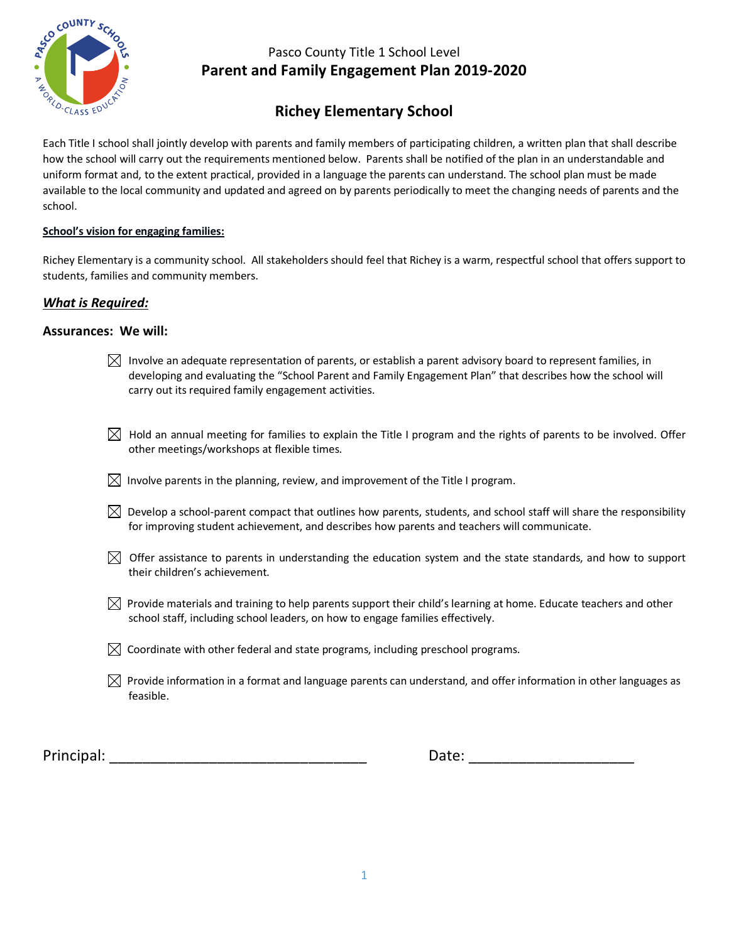

# **Richey Elementary School**

Each Title I school shall jointly develop with parents and family members of participating children, a written plan that shall describe how the school will carry out the requirements mentioned below. Parents shall be notified of the plan in an understandable and uniform format and, to the extent practical, provided in a language the parents can understand. The school plan must be made available to the local community and updated and agreed on by parents periodically to meet the changing needs of parents and the school.

#### **School's vision for engaging families:**

Richey Elementary is a community school. All stakeholders should feel that Richey is a warm, respectful school that offers support to students, families and community members.

### *What is Required:*

#### **Assurances: We will:**

- $\bowtie$  Involve an adequate representation of parents, or establish a parent advisory board to represent families, in developing and evaluating the "School Parent and Family Engagement Plan" that describes how the school will carry out its required family engagement activities.
- $\boxtimes$  Hold an annual meeting for families to explain the Title I program and the rights of parents to be involved. Offer other meetings/workshops at flexible times.
- $\boxtimes$  Involve parents in the planning, review, and improvement of the Title I program.
- $\boxtimes$  Develop a school-parent compact that outlines how parents, students, and school staff will share the responsibility for improving student achievement, and describes how parents and teachers will communicate.
- $\boxtimes$  Offer assistance to parents in understanding the education system and the state standards, and how to support their children's achievement.
- $\boxtimes$  Provide materials and training to help parents support their child's learning at home. Educate teachers and other school staff, including school leaders, on how to engage families effectively.
- $\boxtimes$  Coordinate with other federal and state programs, including preschool programs.
- $\boxtimes$  Provide information in a format and language parents can understand, and offer information in other languages as feasible.

Principal: \_\_\_\_\_\_\_\_\_\_\_\_\_\_\_\_\_\_\_\_\_\_\_\_\_\_\_\_\_\_\_ Date: \_\_\_\_\_\_\_\_\_\_\_\_\_\_\_\_\_\_\_\_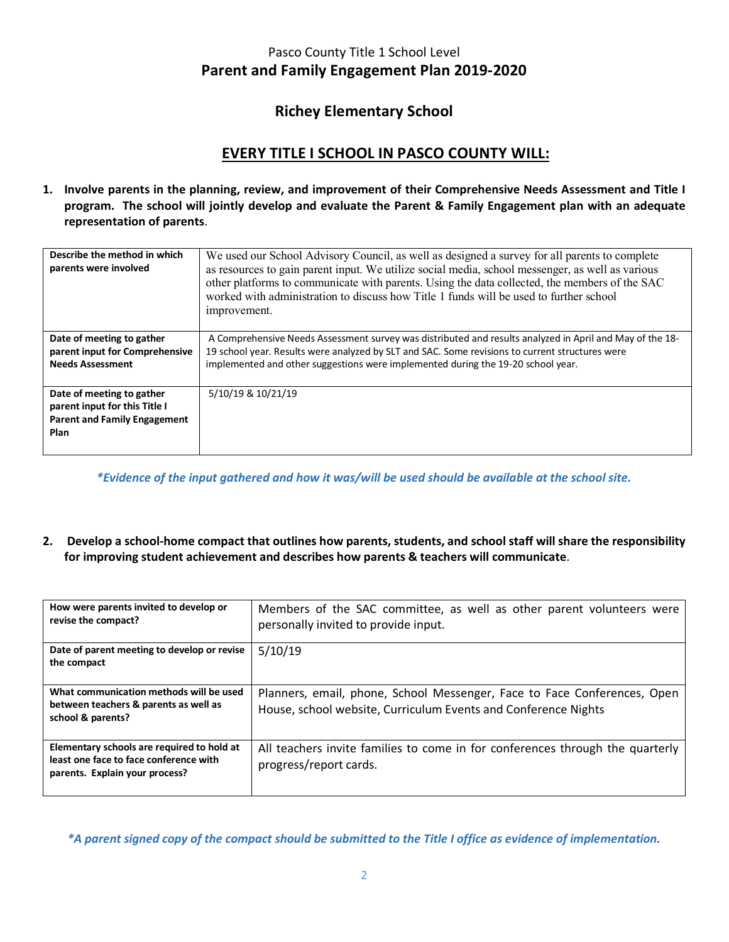## **Richey Elementary School**

## **EVERY TITLE I SCHOOL IN PASCO COUNTY WILL:**

**1. Involve parents in the planning, review, and improvement of their Comprehensive Needs Assessment and Title I program. The school will jointly develop and evaluate the Parent & Family Engagement plan with an adequate representation of parents**.

| Describe the method in which<br>parents were involved                                                     | We used our School Advisory Council, as well as designed a survey for all parents to complete<br>as resources to gain parent input. We utilize social media, school messenger, as well as various<br>other platforms to communicate with parents. Using the data collected, the members of the SAC<br>worked with administration to discuss how Title 1 funds will be used to further school<br>improvement. |
|-----------------------------------------------------------------------------------------------------------|--------------------------------------------------------------------------------------------------------------------------------------------------------------------------------------------------------------------------------------------------------------------------------------------------------------------------------------------------------------------------------------------------------------|
| Date of meeting to gather<br>parent input for Comprehensive<br><b>Needs Assessment</b>                    | A Comprehensive Needs Assessment survey was distributed and results analyzed in April and May of the 18-<br>19 school year. Results were analyzed by SLT and SAC. Some revisions to current structures were<br>implemented and other suggestions were implemented during the 19-20 school year.                                                                                                              |
| Date of meeting to gather<br>parent input for this Title I<br><b>Parent and Family Engagement</b><br>Plan | 5/10/19 & 10/21/19                                                                                                                                                                                                                                                                                                                                                                                           |

*\*Evidence of the input gathered and how it was/will be used should be available at the school site.*

**2. Develop a school-home compact that outlines how parents, students, and school staff will share the responsibility for improving student achievement and describes how parents & teachers will communicate**.

| How were parents invited to develop or<br>revise the compact?                                                          | Members of the SAC committee, as well as other parent volunteers were<br>personally invited to provide input.                              |
|------------------------------------------------------------------------------------------------------------------------|--------------------------------------------------------------------------------------------------------------------------------------------|
| Date of parent meeting to develop or revise<br>the compact                                                             | 5/10/19                                                                                                                                    |
| What communication methods will be used<br>between teachers & parents as well as<br>school & parents?                  | Planners, email, phone, School Messenger, Face to Face Conferences, Open<br>House, school website, Curriculum Events and Conference Nights |
| Elementary schools are required to hold at<br>least one face to face conference with<br>parents. Explain your process? | All teachers invite families to come in for conferences through the quarterly<br>progress/report cards.                                    |

*\*A parent signed copy of the compact should be submitted to the Title I office as evidence of implementation.*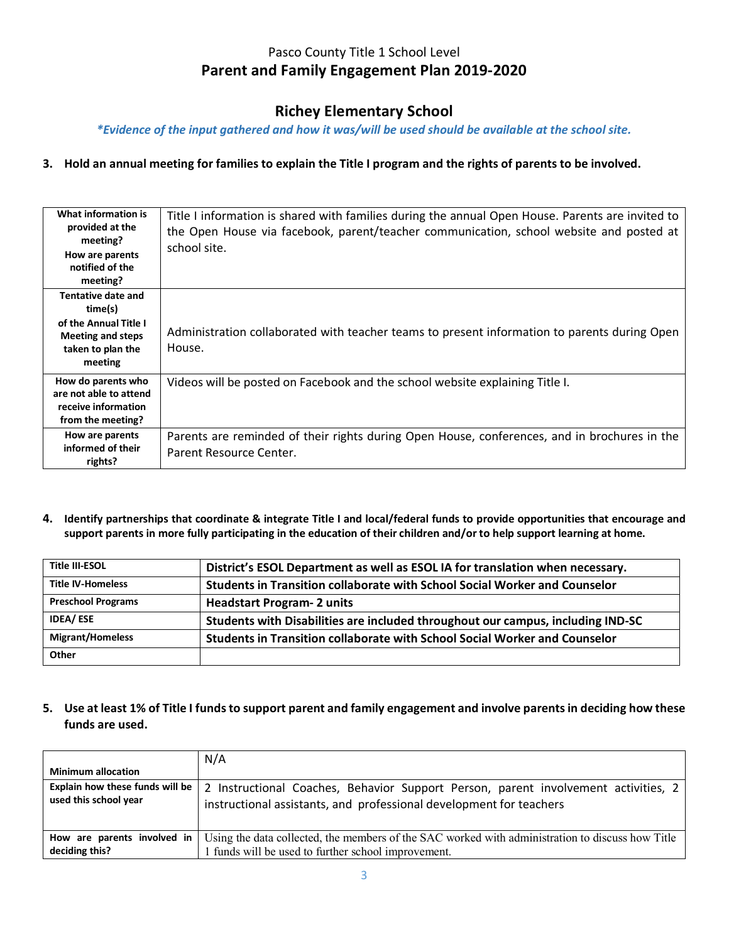## **Richey Elementary School**

*\*Evidence of the input gathered and how it was/will be used should be available at the school site.*

### **3. Hold an annual meeting for families to explain the Title I program and the rights of parents to be involved.**

| What information is<br>provided at the<br>meeting?<br>How are parents<br>notified of the<br>meeting?               | Title I information is shared with families during the annual Open House. Parents are invited to<br>the Open House via facebook, parent/teacher communication, school website and posted at<br>school site. |
|--------------------------------------------------------------------------------------------------------------------|-------------------------------------------------------------------------------------------------------------------------------------------------------------------------------------------------------------|
| Tentative date and<br>time(s)<br>of the Annual Title I<br><b>Meeting and steps</b><br>taken to plan the<br>meeting | Administration collaborated with teacher teams to present information to parents during Open<br>House.                                                                                                      |
| How do parents who<br>are not able to attend<br>receive information<br>from the meeting?                           | Videos will be posted on Facebook and the school website explaining Title I.                                                                                                                                |
| How are parents<br>informed of their<br>rights?                                                                    | Parents are reminded of their rights during Open House, conferences, and in brochures in the<br>Parent Resource Center.                                                                                     |

**4. Identify partnerships that coordinate & integrate Title I and local/federal funds to provide opportunities that encourage and support parents in more fully participating in the education of their children and/or to help support learning at home.**

| <b>Title III-ESOL</b>     | District's ESOL Department as well as ESOL IA for translation when necessary.   |
|---------------------------|---------------------------------------------------------------------------------|
| <b>Title IV-Homeless</b>  | Students in Transition collaborate with School Social Worker and Counselor      |
| <b>Preschool Programs</b> | <b>Headstart Program- 2 units</b>                                               |
| <b>IDEA/ESE</b>           | Students with Disabilities are included throughout our campus, including IND-SC |
| <b>Migrant/Homeless</b>   | Students in Transition collaborate with School Social Worker and Counselor      |
| Other                     |                                                                                 |

### **5. Use at least 1% of Title I funds to support parent and family engagement and involve parents in deciding how these funds are used.**

| <b>Minimum allocation</b>       | N/A                                                                                              |
|---------------------------------|--------------------------------------------------------------------------------------------------|
| Explain how these funds will be | 2 Instructional Coaches, Behavior Support Person, parent involvement activities, 2               |
| used this school year           | instructional assistants, and professional development for teachers                              |
| How are parents involved in     | Using the data collected, the members of the SAC worked with administration to discuss how Title |
| deciding this?                  | funds will be used to further school improvement.                                                |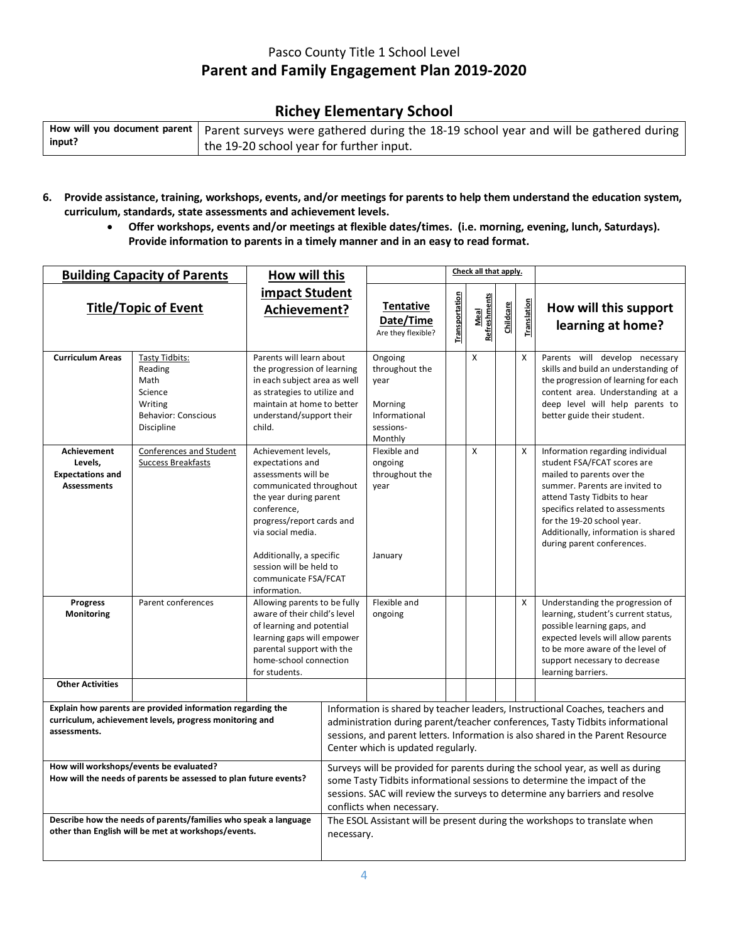## **Richey Elementary School**

|        | How will you document parent   Parent surveys were gathered during the 18-19 school year and will be gathered during $\vert$ |
|--------|------------------------------------------------------------------------------------------------------------------------------|
| input? | the 19-20 school year for further input.                                                                                     |

- **6. Provide assistance, training, workshops, events, and/or meetings for parents to help them understand the education system, curriculum, standards, state assessments and achievement levels.**
	- **Offer workshops, events and/or meetings at flexible dates/times. (i.e. morning, evening, lunch, Saturdays). Provide information to parents in a timely manner and in an easy to read format.**

| <b>Building Capacity of Parents</b>                                                                                                   |                                                                                                            | How will this                                                                                                                                                                                                                                                                           |  | Check all that apply.                                                                 |                |                      |           |                    |                                                                                                                                                                                                                                                                                                        |
|---------------------------------------------------------------------------------------------------------------------------------------|------------------------------------------------------------------------------------------------------------|-----------------------------------------------------------------------------------------------------------------------------------------------------------------------------------------------------------------------------------------------------------------------------------------|--|---------------------------------------------------------------------------------------|----------------|----------------------|-----------|--------------------|--------------------------------------------------------------------------------------------------------------------------------------------------------------------------------------------------------------------------------------------------------------------------------------------------------|
| <b>Title/Topic of Event</b>                                                                                                           |                                                                                                            | impact Student<br>Achievement?                                                                                                                                                                                                                                                          |  | <b>Tentative</b><br>Date/Time<br>Are they flexible?                                   | Transportation | Meal<br>Refreshments | Childcare | <u>Translation</u> | How will this support<br>learning at home?                                                                                                                                                                                                                                                             |
| <b>Curriculum Areas</b>                                                                                                               | <b>Tasty Tidbits:</b><br>Reading<br>Math<br>Science<br>Writing<br><b>Behavior: Conscious</b><br>Discipline | Parents will learn about<br>the progression of learning<br>in each subject area as well<br>as strategies to utilize and<br>maintain at home to better<br>understand/support their<br>child.                                                                                             |  | Ongoing<br>throughout the<br>year<br>Morning<br>Informational<br>sessions-<br>Monthly |                | X                    |           | X                  | Parents will develop necessary<br>skills and build an understanding of<br>the progression of learning for each<br>content area. Understanding at a<br>deep level will help parents to<br>better guide their student.                                                                                   |
| Achievement<br>Levels.<br><b>Expectations and</b><br><b>Assessments</b>                                                               | <b>Conferences and Student</b><br><b>Success Breakfasts</b>                                                | Achievement levels,<br>expectations and<br>assessments will be<br>communicated throughout<br>the year during parent<br>conference,<br>progress/report cards and<br>via social media.<br>Additionally, a specific<br>session will be held to<br>communicate FSA/FCAT<br>information.     |  | Flexible and<br>ongoing<br>throughout the<br>year<br>January                          |                | X                    |           | X                  | Information regarding individual<br>student FSA/FCAT scores are<br>mailed to parents over the<br>summer. Parents are invited to<br>attend Tasty Tidbits to hear<br>specifics related to assessments<br>for the 19-20 school year.<br>Additionally, information is shared<br>during parent conferences. |
| <b>Progress</b><br>Monitoring                                                                                                         | Parent conferences                                                                                         | Allowing parents to be fully<br>aware of their child's level<br>of learning and potential<br>learning gaps will empower<br>parental support with the<br>home-school connection<br>for students.                                                                                         |  | Flexible and<br>ongoing                                                               |                |                      |           | X                  | Understanding the progression of<br>learning, student's current status,<br>possible learning gaps, and<br>expected levels will allow parents<br>to be more aware of the level of<br>support necessary to decrease<br>learning barriers.                                                                |
| <b>Other Activities</b>                                                                                                               |                                                                                                            |                                                                                                                                                                                                                                                                                         |  |                                                                                       |                |                      |           |                    |                                                                                                                                                                                                                                                                                                        |
| Explain how parents are provided information regarding the<br>curriculum, achievement levels, progress monitoring and<br>assessments. |                                                                                                            | Information is shared by teacher leaders, Instructional Coaches, teachers and<br>administration during parent/teacher conferences, Tasty Tidbits informational<br>sessions, and parent letters. Information is also shared in the Parent Resource<br>Center which is updated regularly. |  |                                                                                       |                |                      |           |                    |                                                                                                                                                                                                                                                                                                        |
| How will workshops/events be evaluated?<br>How will the needs of parents be assessed to plan future events?                           |                                                                                                            | Surveys will be provided for parents during the school year, as well as during<br>some Tasty Tidbits informational sessions to determine the impact of the<br>sessions. SAC will review the surveys to determine any barriers and resolve<br>conflicts when necessary.                  |  |                                                                                       |                |                      |           |                    |                                                                                                                                                                                                                                                                                                        |
| Describe how the needs of parents/families who speak a language<br>other than English will be met at workshops/events.                |                                                                                                            | The ESOL Assistant will be present during the workshops to translate when<br>necessary.                                                                                                                                                                                                 |  |                                                                                       |                |                      |           |                    |                                                                                                                                                                                                                                                                                                        |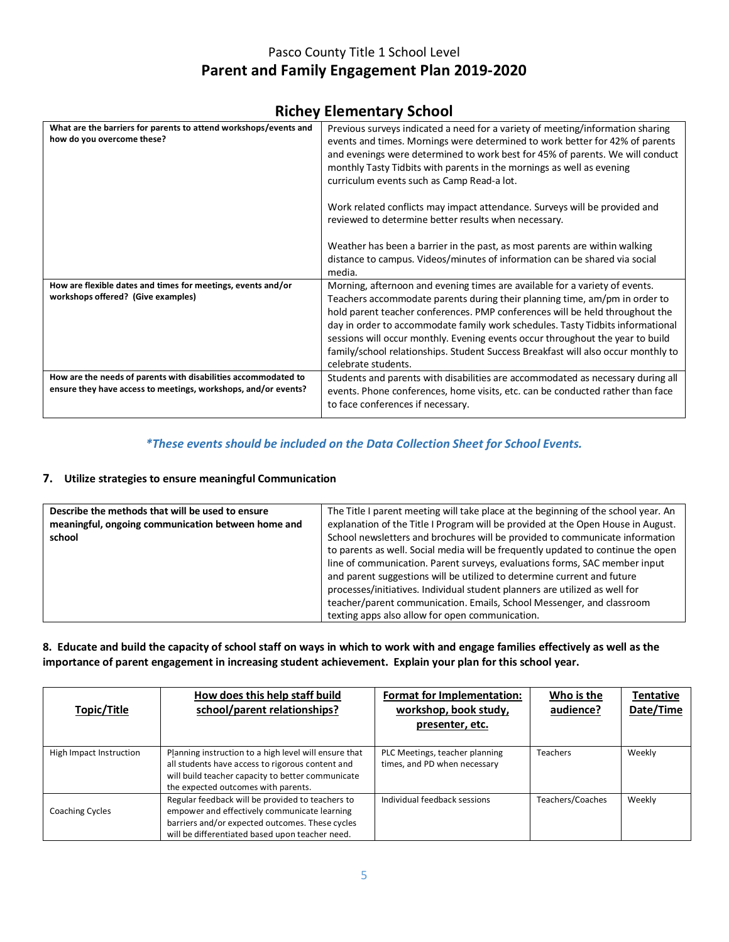# **Richey Elementary School**

| What are the barriers for parents to attend workshops/events and<br>how do you overcome these? | Previous surveys indicated a need for a variety of meeting/information sharing                                                                                   |
|------------------------------------------------------------------------------------------------|------------------------------------------------------------------------------------------------------------------------------------------------------------------|
|                                                                                                | events and times. Mornings were determined to work better for 42% of parents<br>and evenings were determined to work best for 45% of parents. We will conduct    |
|                                                                                                | monthly Tasty Tidbits with parents in the mornings as well as evening                                                                                            |
|                                                                                                | curriculum events such as Camp Read-a lot.                                                                                                                       |
|                                                                                                | Work related conflicts may impact attendance. Surveys will be provided and                                                                                       |
|                                                                                                | reviewed to determine better results when necessary.                                                                                                             |
|                                                                                                | Weather has been a barrier in the past, as most parents are within walking                                                                                       |
|                                                                                                | distance to campus. Videos/minutes of information can be shared via social<br>media.                                                                             |
| How are flexible dates and times for meetings, events and/or                                   | Morning, afternoon and evening times are available for a variety of events.                                                                                      |
| workshops offered? (Give examples)                                                             | Teachers accommodate parents during their planning time, am/pm in order to                                                                                       |
|                                                                                                | hold parent teacher conferences. PMP conferences will be held throughout the                                                                                     |
|                                                                                                | day in order to accommodate family work schedules. Tasty Tidbits informational<br>sessions will occur monthly. Evening events occur throughout the year to build |
|                                                                                                | family/school relationships. Student Success Breakfast will also occur monthly to                                                                                |
|                                                                                                | celebrate students.                                                                                                                                              |
| How are the needs of parents with disabilities accommodated to                                 | Students and parents with disabilities are accommodated as necessary during all                                                                                  |
| ensure they have access to meetings, workshops, and/or events?                                 | events. Phone conferences, home visits, etc. can be conducted rather than face                                                                                   |
|                                                                                                | to face conferences if necessary.                                                                                                                                |
|                                                                                                |                                                                                                                                                                  |

#### *\*These events should be included on the Data Collection Sheet for School Events.*

#### **7. Utilize strategies to ensure meaningful Communication**

| Describe the methods that will be used to ensure<br>meaningful, ongoing communication between home and<br>school | The Title I parent meeting will take place at the beginning of the school year. An<br>explanation of the Title I Program will be provided at the Open House in August.<br>School newsletters and brochures will be provided to communicate information<br>to parents as well. Social media will be frequently updated to continue the open<br>line of communication. Parent surveys, evaluations forms, SAC member input<br>and parent suggestions will be utilized to determine current and future<br>processes/initiatives. Individual student planners are utilized as well for<br>teacher/parent communication. Emails, School Messenger, and classroom<br>texting apps also allow for open communication. |
|------------------------------------------------------------------------------------------------------------------|----------------------------------------------------------------------------------------------------------------------------------------------------------------------------------------------------------------------------------------------------------------------------------------------------------------------------------------------------------------------------------------------------------------------------------------------------------------------------------------------------------------------------------------------------------------------------------------------------------------------------------------------------------------------------------------------------------------|
|------------------------------------------------------------------------------------------------------------------|----------------------------------------------------------------------------------------------------------------------------------------------------------------------------------------------------------------------------------------------------------------------------------------------------------------------------------------------------------------------------------------------------------------------------------------------------------------------------------------------------------------------------------------------------------------------------------------------------------------------------------------------------------------------------------------------------------------|

#### **8. Educate and build the capacity of school staff on ways in which to work with and engage families effectively as well as the importance of parent engagement in increasing student achievement. Explain your plan for this school year.**

| Topic/Title             | How does this help staff build<br>school/parent relationships?                                                                                                                                         | Format for Implementation:<br>workshop, book study,<br>presenter, etc. | Who is the<br>audience? | <b>Tentative</b><br>Date/Time |
|-------------------------|--------------------------------------------------------------------------------------------------------------------------------------------------------------------------------------------------------|------------------------------------------------------------------------|-------------------------|-------------------------------|
| High Impact Instruction | Planning instruction to a high level will ensure that<br>all students have access to rigorous content and<br>will build teacher capacity to better communicate<br>the expected outcomes with parents.  | PLC Meetings, teacher planning<br>times, and PD when necessary         | <b>Teachers</b>         | Weekly                        |
| <b>Coaching Cycles</b>  | Regular feedback will be provided to teachers to<br>empower and effectively communicate learning<br>barriers and/or expected outcomes. These cycles<br>will be differentiated based upon teacher need. | Individual feedback sessions                                           | Teachers/Coaches        | Weekly                        |